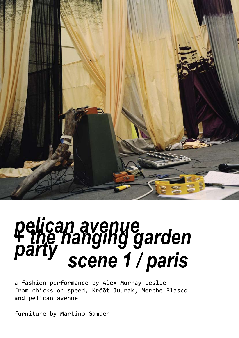

# *pelican avenue + the hanging garden party scene 1 / paris*

a fashion performance by Alex Murray-Leslie from chicks on speed, Krõõt Juurak, Merche Blasco and pelican avenue

furniture by Martino Gamper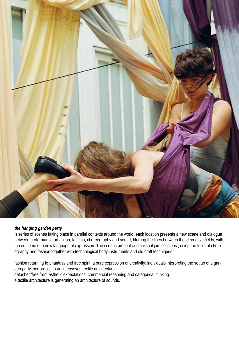

### *the hanging garden party*

is series of scenes taking place in parallel contexts around the world, each location presents a new scene and dialogue between performance art action, fashion, choreography and sound, blurring the lines between these creative fields, with the outcome of a new language of expression. The scenes present audio visual jam sessions , using the tools of choreography and fashion together with technological body instruments and old craft techniques.

fashion returning to phantasy and free spirit; a pure expression of creativity; individuals interpreting the set up of a garden party, performing in an interwoven textile architecture detached/free from esthetic expectations, commercial reasoning and categorical thinking. a textile architecture is generating an architecture of sounds.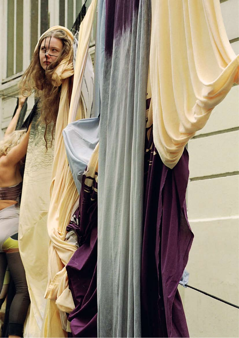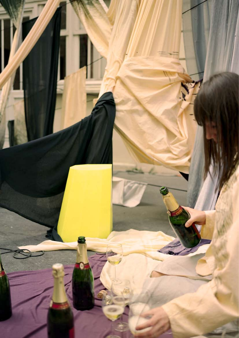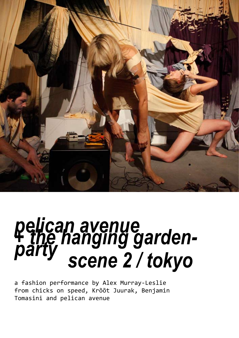

## *pelican avenue + the hanging gardenparty scene 2 / tokyo*

a fashion performance by Alex Murray-Leslie from chicks on speed, Krõõt Juurak, Benjamin Tomasini and pelican avenue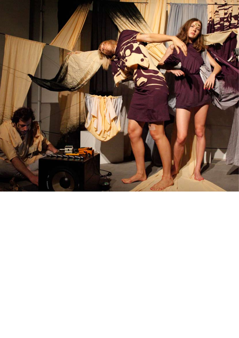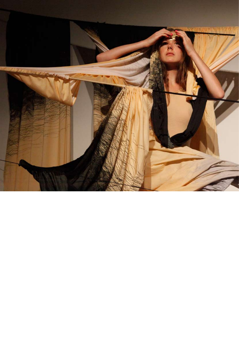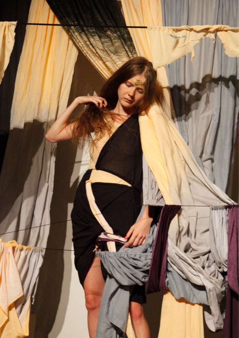